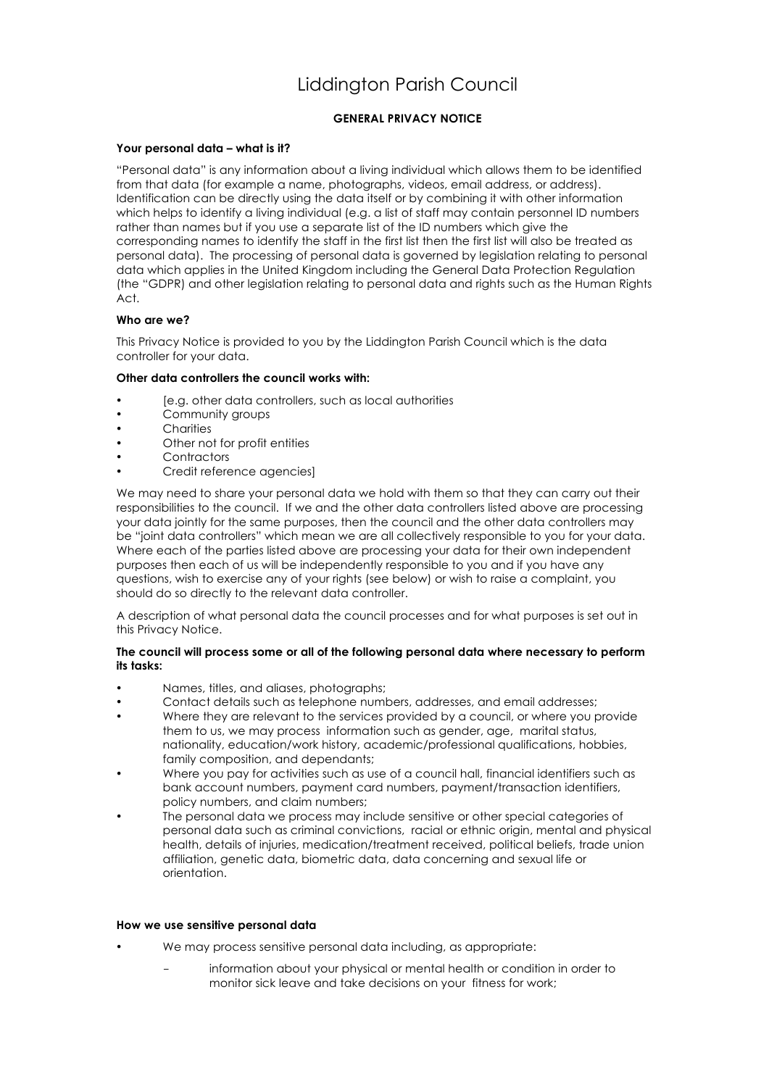# Liddington Parish Council

# **GENERAL PRIVACY NOTICE**

## **Your personal data – what is it?**

"Personal data" is any information about a living individual which allows them to be identified from that data (for example a name, photographs, videos, email address, or address). Identification can be directly using the data itself or by combining it with other information which helps to identify a living individual (e.g. a list of staff may contain personnel ID numbers rather than names but if you use a separate list of the ID numbers which give the corresponding names to identify the staff in the first list then the first list will also be treated as personal data). The processing of personal data is governed by legislation relating to personal data which applies in the United Kingdom including the General Data Protection Regulation (the "GDPR) and other legislation relating to personal data and rights such as the Human Rights Act.

## **Who are we?**

This Privacy Notice is provided to you by the Liddington Parish Council which is the data controller for your data.

## **Other data controllers the council works with:**

- [e.g. other data controllers, such as local authorities
- Community groups
- **Charities**
- Other not for profit entities
- **Contractors**
- Credit reference agencies]

We may need to share your personal data we hold with them so that they can carry out their responsibilities to the council. If we and the other data controllers listed above are processing your data jointly for the same purposes, then the council and the other data controllers may be "joint data controllers" which mean we are all collectively responsible to you for your data. Where each of the parties listed above are processing your data for their own independent purposes then each of us will be independently responsible to you and if you have any questions, wish to exercise any of your rights (see below) or wish to raise a complaint, you should do so directly to the relevant data controller.

A description of what personal data the council processes and for what purposes is set out in this Privacy Notice.

## **The council will process some or all of the following personal data where necessary to perform its tasks:**

- Names, titles, and aliases, photographs;
- Contact details such as telephone numbers, addresses, and email addresses;
- Where they are relevant to the services provided by a council, or where you provide them to us, we may process information such as gender, age, marital status, nationality, education/work history, academic/professional qualifications, hobbies, family composition, and dependants;
- Where you pay for activities such as use of a council hall, financial identifiers such as bank account numbers, payment card numbers, payment/transaction identifiers, policy numbers, and claim numbers;
- The personal data we process may include sensitive or other special categories of personal data such as criminal convictions, racial or ethnic origin, mental and physical health, details of injuries, medication/treatment received, political beliefs, trade union affiliation, genetic data, biometric data, data concerning and sexual life or orientation.

## **How we use sensitive personal data**

- We may process sensitive personal data including, as appropriate:
	- information about your physical or mental health or condition in order to monitor sick leave and take decisions on your fitness for work;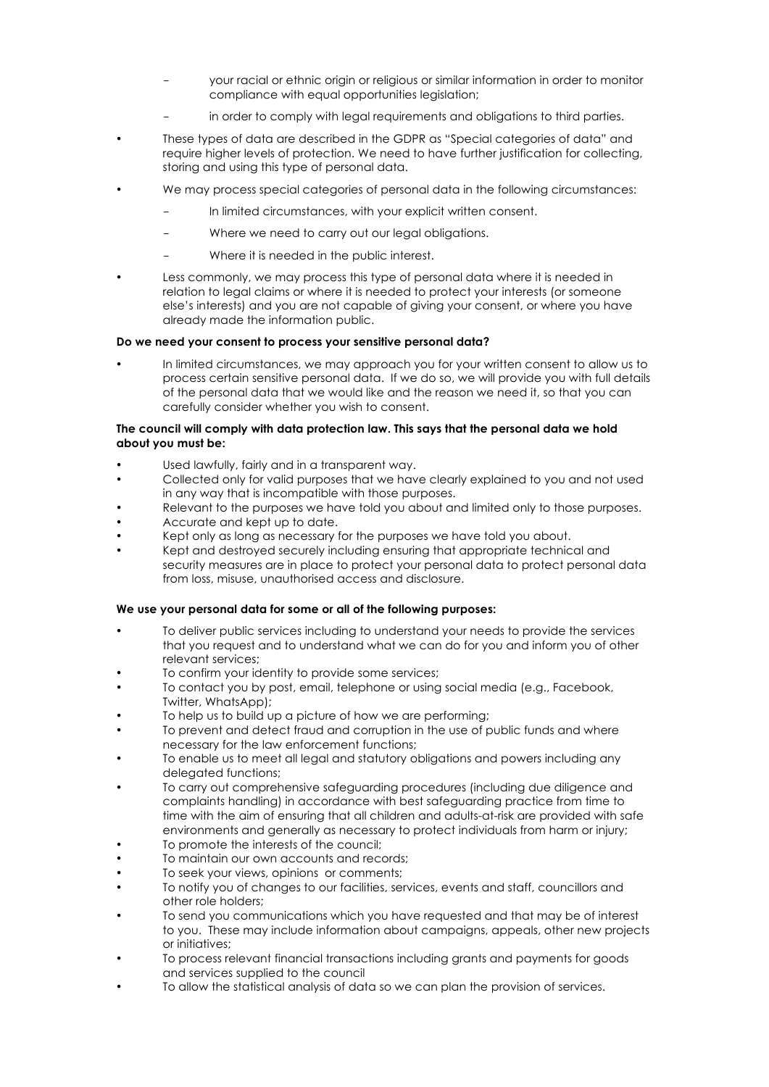- your racial or ethnic origin or religious or similar information in order to monitor compliance with equal opportunities legislation;
- in order to comply with legal requirements and obligations to third parties.
- These types of data are described in the GDPR as "Special categories of data" and require higher levels of protection. We need to have further justification for collecting, storing and using this type of personal data.
- We may process special categories of personal data in the following circumstances:
	- In limited circumstances, with your explicit written consent.
	- Where we need to carry out our legal obligations.
	- Where it is needed in the public interest.
- Less commonly, we may process this type of personal data where it is needed in relation to legal claims or where it is needed to protect your interests (or someone else's interests) and you are not capable of giving your consent, or where you have already made the information public.

## **Do we need your consent to process your sensitive personal data?**

• In limited circumstances, we may approach you for your written consent to allow us to process certain sensitive personal data. If we do so, we will provide you with full details of the personal data that we would like and the reason we need it, so that you can carefully consider whether you wish to consent.

## **The council will comply with data protection law. This says that the personal data we hold about you must be:**

- Used lawfully, fairly and in a transparent way.
- Collected only for valid purposes that we have clearly explained to you and not used in any way that is incompatible with those purposes.
- Relevant to the purposes we have told you about and limited only to those purposes.
- Accurate and kept up to date.
- Kept only as long as necessary for the purposes we have told you about.
- Kept and destroyed securely including ensuring that appropriate technical and security measures are in place to protect your personal data to protect personal data from loss, misuse, unauthorised access and disclosure.

## **We use your personal data for some or all of the following purposes:**

- To deliver public services including to understand your needs to provide the services that you request and to understand what we can do for you and inform you of other relevant services;
- To confirm your identity to provide some services;
- To contact you by post, email, telephone or using social media (e.g., Facebook, Twitter, WhatsApp);
- To help us to build up a picture of how we are performing;
- To prevent and detect fraud and corruption in the use of public funds and where necessary for the law enforcement functions;
- To enable us to meet all legal and statutory obligations and powers including any delegated functions;
- To carry out comprehensive safeguarding procedures (including due diligence and complaints handling) in accordance with best safeguarding practice from time to time with the aim of ensuring that all children and adults-at-risk are provided with safe environments and generally as necessary to protect individuals from harm or injury;
- To promote the interests of the council:
- To maintain our own accounts and records;
- To seek your views, opinions or comments;
- To notify you of changes to our facilities, services, events and staff, councillors and other role holders;
- To send you communications which you have requested and that may be of interest to you. These may include information about campaigns, appeals, other new projects or initiatives;
- To process relevant financial transactions including grants and payments for goods and services supplied to the council
- To allow the statistical analysis of data so we can plan the provision of services.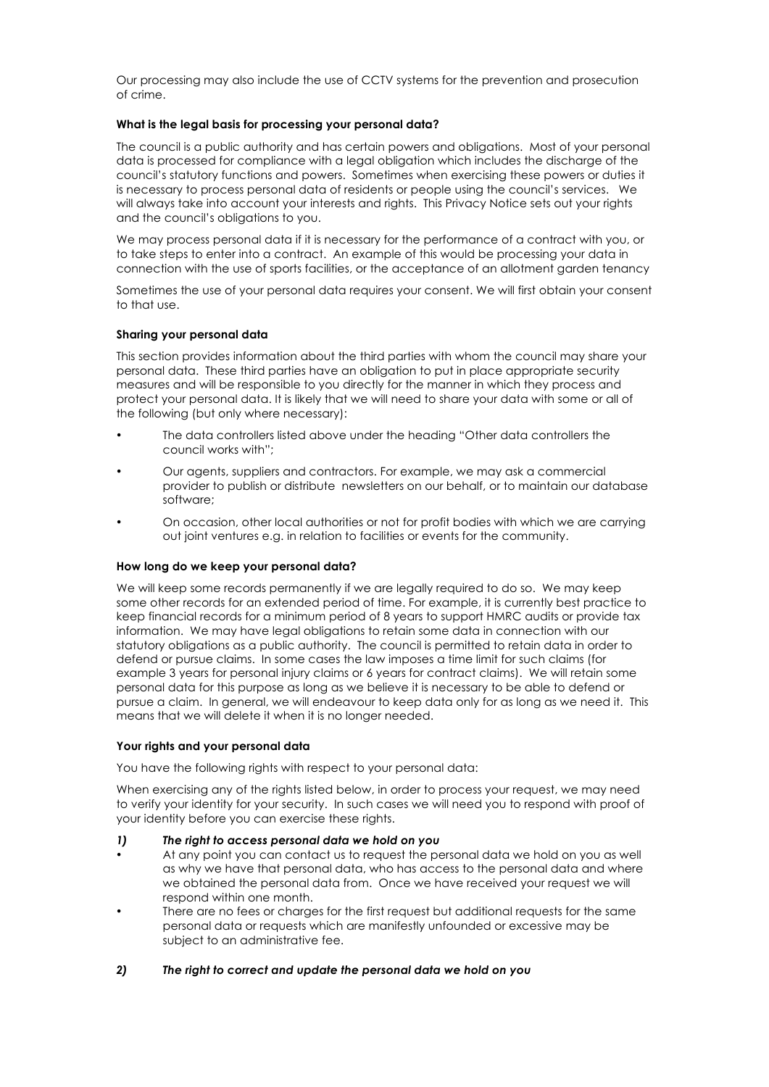Our processing may also include the use of CCTV systems for the prevention and prosecution of crime.

## **What is the legal basis for processing your personal data?**

The council is a public authority and has certain powers and obligations. Most of your personal data is processed for compliance with a legal obligation which includes the discharge of the council's statutory functions and powers. Sometimes when exercising these powers or duties it is necessary to process personal data of residents or people using the council's services. We will always take into account your interests and rights. This Privacy Notice sets out your rights and the council's obligations to you.

We may process personal data if it is necessary for the performance of a contract with you, or to take steps to enter into a contract. An example of this would be processing your data in connection with the use of sports facilities, or the acceptance of an allotment garden tenancy

Sometimes the use of your personal data requires your consent. We will first obtain your consent to that use.

## **Sharing your personal data**

This section provides information about the third parties with whom the council may share your personal data. These third parties have an obligation to put in place appropriate security measures and will be responsible to you directly for the manner in which they process and protect your personal data. It is likely that we will need to share your data with some or all of the following (but only where necessary):

- The data controllers listed above under the heading "Other data controllers the council works with";
- Our agents, suppliers and contractors. For example, we may ask a commercial provider to publish or distribute newsletters on our behalf, or to maintain our database software;
- On occasion, other local authorities or not for profit bodies with which we are carrying out joint ventures e.g. in relation to facilities or events for the community.

#### **How long do we keep your personal data?**

We will keep some records permanently if we are legally required to do so. We may keep some other records for an extended period of time. For example, it is currently best practice to keep financial records for a minimum period of 8 years to support HMRC audits or provide tax information. We may have legal obligations to retain some data in connection with our statutory obligations as a public authority. The council is permitted to retain data in order to defend or pursue claims. In some cases the law imposes a time limit for such claims (for example 3 years for personal injury claims or 6 years for contract claims). We will retain some personal data for this purpose as long as we believe it is necessary to be able to defend or pursue a claim. In general, we will endeavour to keep data only for as long as we need it. This means that we will delete it when it is no longer needed.

#### **Your rights and your personal data**

You have the following rights with respect to your personal data:

When exercising any of the rights listed below, in order to process your request, we may need to verify your identity for your security. In such cases we will need you to respond with proof of your identity before you can exercise these rights.

- *1) The right to access personal data we hold on you*
- At any point you can contact us to request the personal data we hold on you as well as why we have that personal data, who has access to the personal data and where we obtained the personal data from. Once we have received your request we will respond within one month.
- There are no fees or charges for the first request but additional requests for the same personal data or requests which are manifestly unfounded or excessive may be subject to an administrative fee.

## *2) The right to correct and update the personal data we hold on you*